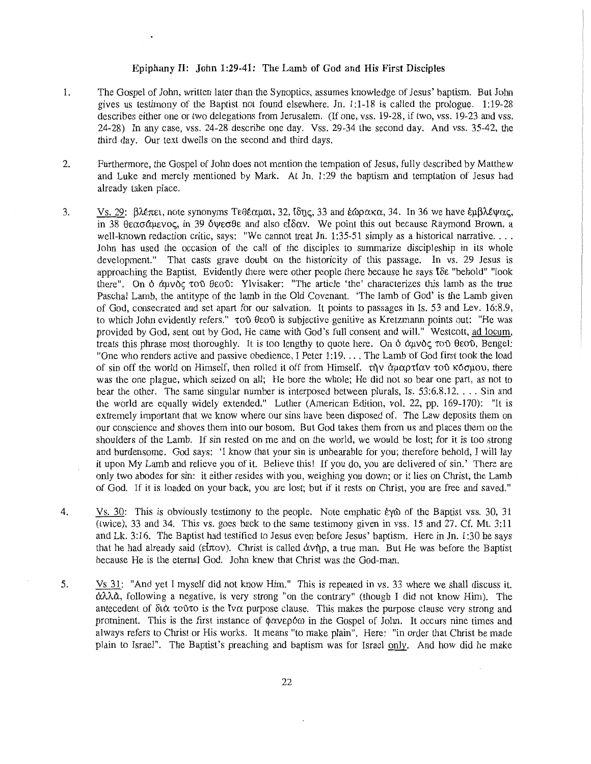## Epiphany II: John 1:29-41: The Lamb of God and His First Disciples

- 1. The Gospel of John, written later than the Synoptics, assumes knowledge of Jesus' baptism. But John gives us testimony of the Baptist not found elsewhere. Jn. 1:1-18 is called the prologue. 1:19-28 describes either one or two delegations from Jerusalem. (If one, vss. 19-28, if two, vss. 19-23 and vss. 24-28) In any case, vss. 24-28 describe one day. Vss. 29-34 the second day. And vss. 35-42, the third day. Our text dwells on the second and third days.
- 2. Furthermore, the Gospel of John does not mention the tempation of Jesus, fully described by Matthew and Luke and merely mentioned by Mark. At Jn. 1:29 the baptism and temptation of Jesus had already taken place.
- 3. Vs.  $29$ :  $\beta\lambda\epsilon\pi\epsilon\iota$ , note synonyms  $T\epsilon\theta\epsilon\alpha\mu\alpha\iota$ , 32,  $\delta\eta\varsigma$ , 33 and  $\epsilon\omega\rho\alpha\kappa\alpha$ , 34. In 36 we have  $\epsilon\mu\beta\lambda\epsilon\psi\alpha\varsigma$ , in 38  $\theta \in \alpha \sigma \alpha$ μενος, in 39 δυνεσθε and also είδαν. We point this out because Raymond Brown, a well-known redaction critic, says: "We cannot treat Jn. 1:35-51 simply as a historical narrative... John has used the occasion of the call of the disciples to summarize discipleship in its whole development." That casts grave doubt on the historicity of this passage. In vs. 29 Jesus is approaching the Baptist. Evidently there were other people there because he says  $\delta \epsilon$  "behold" "look there". On  $\phi$   $\alpha$ uvoc;  $\sigma \phi$   $\theta$   $\epsilon$ o $\phi$ : Ylvisaker: "The article 'the' characterizes this lamb as the true Paschal Lamb, the antitype of the lamb in the Old Covenant. 'The lamb of God' is the Lamb given of God, consecrated and set apart for our salvation. It points to passages in Is. 53 and Lev. 16:8.9, to which John evidently refers."  $\tau$  00  $\theta$  and is subjective genitive as Kretzmann points out: "He was provided by God, sent out by God, He came with God's full consent and will." Westcott, ad locum, treats this phrase most thoroughly. It is too lengthy to quote here. On  $\phi$   $\alpha$ uv $\delta$ c $\tau$ o $\theta$   $\theta$ eo $\delta$ , Bengel: "One who renders active and passive obedience, I Peter 1 :19 .... The Lamb of God first took the load of sin off the world on Himself, then rolled it off from Himself.  $\tau \gamma \nu \alpha \mu \alpha \rho \tau (\alpha \nu \tau \sigma \delta \kappa \sigma \mu \sigma \nu)$ , there was the one plague, which seized on all; He bore the whole; He did not so bear one part, as not to bear the other. The same singular number is interposed between plurals, Is. 53:6.8.12 .... Sin and the world are equally widely extended." Luther (American Edition, vol. 22, pp. 169-170): "It is extremely important that we know where our sins have been disposed of. The Law deposits them on our conscience and shoves them into our bosom. But God takes them from us and places them on the shoulders of the Lamb. If sin rested on me and on the world, we would be lost; for it is too strong and burdensome. God says: 'I know that your sin is unbearable for you; therefore behold, I will lay it upon My Lamb and relieve you of it. Believe this! If you do, you are delivered of sin.' There are only two abodes for sin: it either resides with you, weighing you down; or it lies on Christ, the Lamb of God. If it is loaded on your back, you are lost; but if it rests on Christ, you are free and saved."
- 4. Vs. 30: This is obviously testimony to the people. Note emphatic  $\dot{\epsilon}$  va of the Baptist vss. 30, 31 (twice), 33 and 34. This vs. goes back to the same testimony given in vss. 15 and 27. Cf. Mt. 3:11 and Lk. 3:16. The Baptist had testified to Jesus even before Jesus' baptism. Here in Jn. 1:30 he says that he had already said ( $\varepsilon\hbar\omega$ ). Christ is called  $\dot{\alpha}$   $\gamma\hbar$ , a true man. But He was before the Baptist because He is the eternal God. John knew that Christ was the God-man.
- 5. Vs 31: "And yet I myself did not know Him." This is repeated in vs. 33 where we shall discuss it.  $\alpha\lambda\lambda\alpha$ , following a negative, is very strong "on the contrary" (though I did not know Him). The antecedent of  $\delta t \alpha$  to  $\delta t$  is the tv $\alpha$  purpose clause. This makes the purpose clause very strong and prominent. This is the first instance of  $\phi \alpha \nu \epsilon \rho \delta \omega$  in the Gospel of John. It occurs nine times and always refers to Christ or His works. It means "to make plain". Here: "in order that Christ be made plain to Israel". The Baptist's preaching and baptism was for Israel only. And how did he make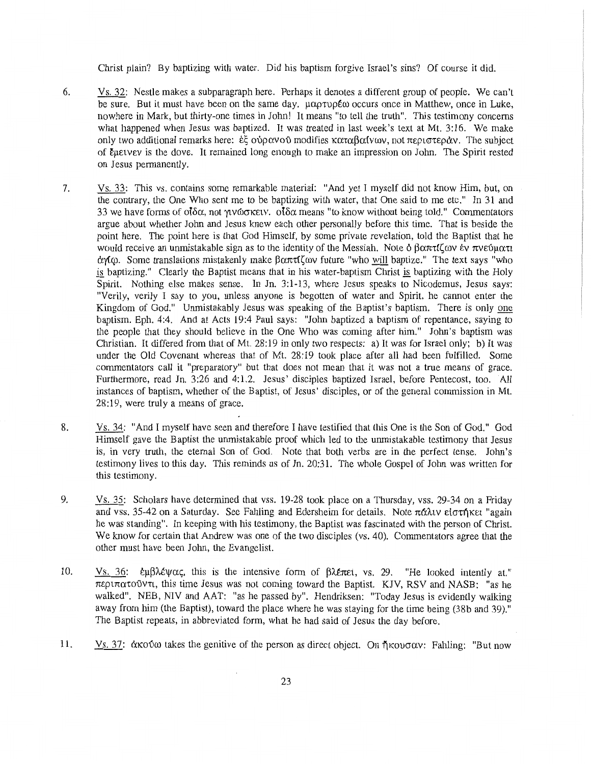Christ plain? By baptizing with water. Did his baptism forgive Israel's sins? Of course it did.

- 6. Vs. 32: Nestle makes a subparagraph here. Perhaps it denotes a different group of people. We can't be sure. But it must have been on the same day.  $\mu\alpha\rho\tau\nu\rho\epsilon\omega$  occurs once in Matthew, once in Luke, nowhere in Mark, but thirty-one times in John! It means "to tell the truth". This testimony concerns what happened when Jesus was baptized. It was treated in last week's text at Mt. 3:16. We make only two additional remarks here:  $\dot{\epsilon}$  ovp $\alpha$ vo modifies  $\kappa \alpha \alpha \beta \alpha$  (vav. not  $\pi \epsilon \rho \alpha \alpha \gamma$ ). The subject of Euetyev is the dove. It remained long enough to make an impression on John. The Spirit rested on Jesus permanently.
- 7. Vs. 33: This vs. contains some remarkable material: "And yet I myself did not know Him, but, on the contrary, the One Who sent me to be baptizing with water, that One said to me etc." In 31 and 33 we have forms of  $\partial \delta \alpha$ , not  $\gamma$ v $\omega \sigma$  kev.  $\partial \delta \alpha$  means "to know without being told." Commentators argue about whether John and Jesus knew each other personally before this time. That is beside the point here. The point here is that God Himself, by some private revelation, told the Baptist that he would receive an unmistakable sign as to the identity of the Messiah. Note  $\delta \beta \alpha \pi \tau \mathfrak{l} \zeta \omega \nu$  ev  $\pi \nu \epsilon \omega \mu \alpha \tau \iota$  $\alpha$ %0. Some translations mistakenly make  $\beta \alpha \pi \tau \zeta \omega$  future "who will baptize." The text says "who is baptizing." Clearly the Baptist means that in his water-baptism Christ is baptizing with the Holy Spirit. Nothing else makes sense. In Jn. 3:1-13, where Jesus speaks to Nicodemus, Jesus says: "Verily, verily I say to you, unless anyone is begotten of water and Spirit, he cannot enter the Kingdom of God." Unmistakably Jesus was speaking of the Baptist's baptism. There is only one baptism. Eph. 4:4. And at Acts 19:4 Paul says: "John baptized a baptism of repentance, saying to the people that they should believe in the One Who was coming after him." John's baptism was Christian. It differed from that of Mt. 28:19 in only two respects: a) It was for Israel only; b) It was under the Old Covenant whereas that of Mt. 28:19 took place after all had been fulfilled. Some commentators call it "preparatory" but that does not mean that it was not a true means of grace. Furthermore, read Jn. 3:26 and 4:1.2. Jesus' disciples baptized Israel, before Pentecost, too. All instances of baptism, whether of the Baptist, of Jesus' disciples, or of the general commission in Mt. 28: 19, were truly a means of grace.
- 8. Vs. 34: "And I myself have seen and therefore I have testified that this One is the Son of God." God Himself gave the Baptist the unmistakable proof which led to the unmistakable testimony that Jesus is, in very truth, the eternal Son of God. Note that both verbs are in the perfect tense. John's testimony lives to this day. This reminds us of Jn. 20:31. The whole Gospel of John was written for this testimony.
- 9. Vs. 35: Scholars have determined that vss. 19-28 took place on a Thursday, vss. 29-34 on a Friday and vss. 35-42 on a Saturday. See Fahling and Edersheim for details. Note  $\pi \alpha \lambda \nu$  electrical "again he was standing". In keeping with his testimony, the Baptist was fascinated with the person of Christ. We know for certain that Andrew was one of the two disciples (vs. 40). Commentators agree that the other must have been John, the Evangelist.
- 10. Vs. 36:  $\epsilon \mu \beta \lambda \epsilon \psi \alpha \zeta$ , this is the intensive form of  $\beta \lambda \epsilon \pi \epsilon i$ , vs. 29. "He looked intently at."  $\pi$ εριπατούντι, this time Jesus was not coming toward the Baptist. KJV, RSV and NASB: "as he walked". NEB, NIV and AAT: "as he passed by". Hendriksen: "Today Jesus is evidently walking away from him (the Baptist), toward the place where he was staying for the time being (38b and 39)." The Baptist repeats, in abbreviated form, what he had said of Jesus the day before.
- 11. Vs. 37:  $\alpha$ Ko a takes the genitive of the person as direct object. On  $\eta$ Kovo $\alpha v$ : Fahling: "But now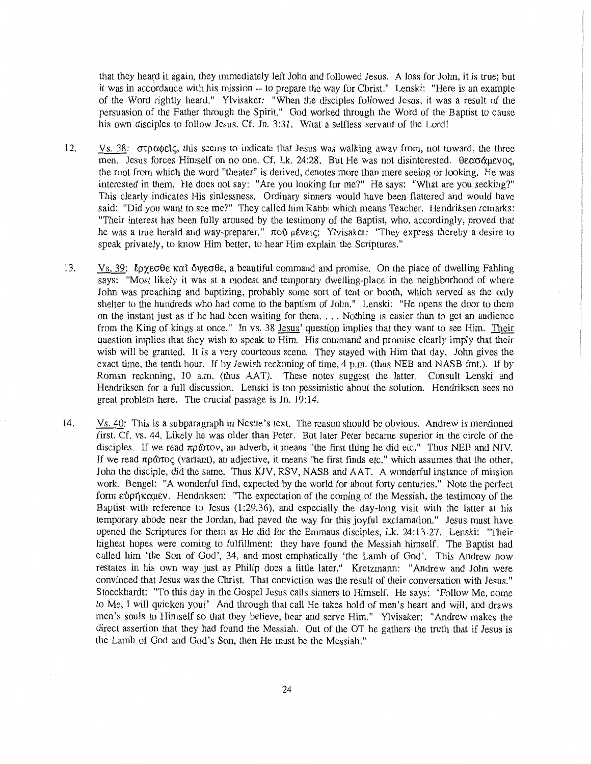that they heard it again, they immediately left John and followed Jesus. A loss for John, it is true; but it was in accordance with his mission -- to prepare the way for Christ." Lenski: "Here is an example of the Word rightly heard." Ylvisaker: "When the disciples followed Jesus, it was a result of the persuasion of the Father through the Spirit." God worked through the Word of the Baptist to cause his own disciples to follow Jesus. Cf. Jn. 3:31. What a selfless servant of the Lord!

- 12. Vs. 38:  $\sigma \tau \rho \alpha \phi$  etc., this seems to indicate that Jesus was walking away from, not toward, the three men. Jesus forces Himself on no one. Cf. Lk. 24:28. But He was not disinterested.  $\theta \epsilon \alpha \sigma \alpha \mu \epsilon \nu o \zeta$ , the root from which the word "theater" is derived, denotes more than mere seeing or looking. He was interested in them. He does not say: "Are you looking for me?" He says: "What are you seeking?" This clearly indicates His sinlessness. Ordinary sinners would have been flattered and would have said: "Did you want to see me?" They called him Rabbi which means Teacher. Hendriksen remarks: "Their interest has been fully aroused by the testimony of the Baptist, who, accordingly, proved that he was a true herald and way-preparer."  $\pi$ 00  $\mu \ell$ v $\epsilon$ c; Ylvisaker: "They express thereby a desire to speak privately, to know Him better, to hear Him explain the Scriptures."
- 13. Vs. 39:  $\ell\rho\gamma\epsilon\sigma\theta\epsilon$  kat  $\delta\psi\epsilon\sigma\theta\epsilon$ , a beautiful command and promise. On the place of dwelling Fahling says: "Most likely it was at a modest and temporary dwelling-place in the neighborhood of where John was preaching and baptizing, probably some sort of tent or booth, which served as the only shelter to the hundreds who had come to the baptism of John." Lenski: "He opens the door to them on the instant just as if he had been waiting for them .... Nothing is easier than to get an audience from the King of kings at once." In vs. 38 Jesus' question implies that they want to see Him. Their question implies that they wish to speak to Him. His command and promise clearly imply that their wish will be granted. It is a very courteous scene. They stayed with Him that day. John gives the exact time, the tenth hour. If by Jewish reckoning of time, 4 p.m. (thus NEB and NASB ftnt.). If by Roman reckoning, 10 a.m. (thus AAT). These notes suggest the latter. Consult Lenski and Hendriksen for a full discussion. Lenski is too pessimistic about the solution. Hendriksen sees no great problem here. The crucial passage is Jn. 19:14.
- 14. Vs. 40: This is a subparagraph in Nestle's text. The reason should be obvious. Andrew is mentioned first. Cf. vs. 44. Likely he was older than Peter. But later Peter became superior in the circle of the disciples. If we read  $\pi \rho \omega \nu$ , an adverb, it means "the first thing he did etc." Thus NEB and NIV. If we read  $\pi \rho \hat{\omega} \tau o(\tau)$  (variant), an adjective, it means "he first finds etc." which assumes that the other, John the disciple, did the same. Thus KJV, RSV, NASB and AAT. A wonderful instance of mission work. Bengel: "A wonderful find, expected by the world for about forty centuries." Note the perfect form  $\epsilon$   $\gamma$ <sup>1</sup>K $\alpha$  $\mu$ εν. Hendriksen: "The expectation of the coming of the Messiah, the testimony of the Baptist with reference to Jesus (1:29.36), and especially the day-long visit with the latter at his temporary abode near the Jordan, had paved the way for this joyful exclamation." Jesus must have opened the Scriptures for them as He did for the Emmaus disciples, Lk. 24:13-27. Lenski: "Their highest hopes were coming to fulfillment: they have found the Messiah himself. The Baptist had called him 'the Son of God', 34, and most emphatically 'the Lamb of God'. This Andrew now restates in his own way just as Philip does a little later." Kretzmann: "Andrew and John were convinced that Jesus was the Christ. That conviction was the result of their conversation with Jesus." Stoeckhardt: "To this day in the Gospel Jesus calls sinners to Himself. He says: 'Follow Me, come to Me, I will quicken you!' And through that call He takes hold of men's heart and will, and draws men's souls to Himself so that they believe, hear and serve Him." Ylvisaker: "Andrew makes the direct assertion that they had found the Messiah. Out of the OT he gathers the truth that if Jesus is the Lamb of God and God's Son, then He must be the Messiah."